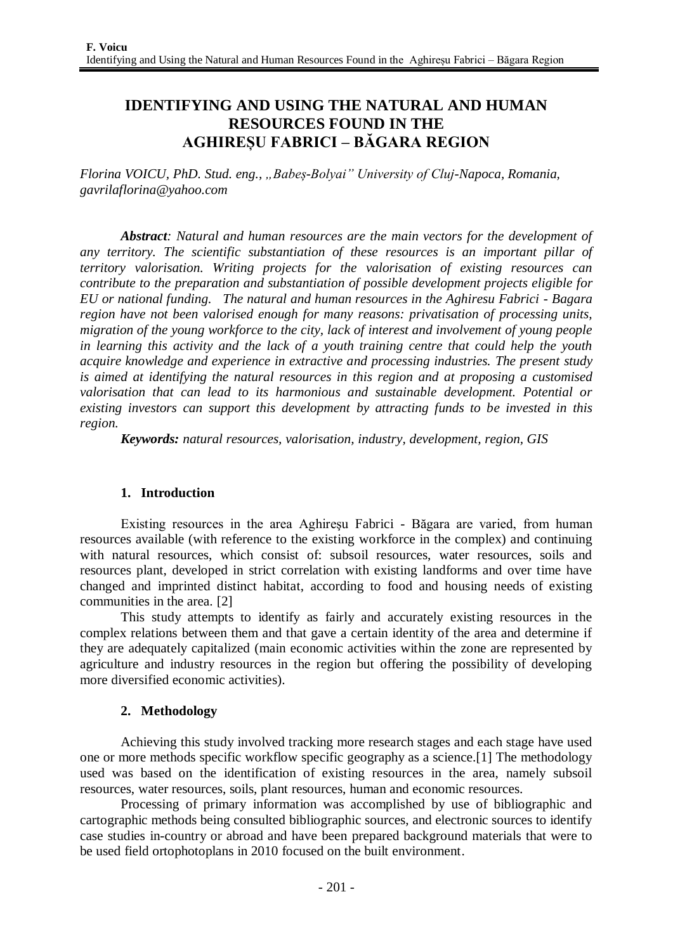# **IDENTIFYING AND USING THE NATURAL AND HUMAN RESOURCES FOUND IN THE AGHIREȘU FABRICI – BĂGARA REGION**

*Florina VOICU, PhD. Stud. eng., "Babeș-Bolyai" University of Cluj-Napoca, Romania, gavrilaflorina@yahoo.com*

*Abstract: Natural and human resources are the main vectors for the development of any territory. The scientific substantiation of these resources is an important pillar of territory valorisation. Writing projects for the valorisation of existing resources can contribute to the preparation and substantiation of possible development projects eligible for EU or national funding. The natural and human resources in the Aghiresu Fabrici - Bagara region have not been valorised enough for many reasons: privatisation of processing units, migration of the young workforce to the city, lack of interest and involvement of young people in learning this activity and the lack of a youth training centre that could help the youth acquire knowledge and experience in extractive and processing industries. The present study is aimed at identifying the natural resources in this region and at proposing a customised valorisation that can lead to its harmonious and sustainable development. Potential or existing investors can support this development by attracting funds to be invested in this region.*

*Keywords: natural resources, valorisation, industry, development, region, GIS*

## **1. Introduction**

Existing resources in the area Aghireşu Fabrici - Băgara are varied, from human resources available (with reference to the existing workforce in the complex) and continuing with natural resources, which consist of: subsoil resources, water resources, soils and resources plant, developed in strict correlation with existing landforms and over time have changed and imprinted distinct habitat, according to food and housing needs of existing communities in the area. [2]

This study attempts to identify as fairly and accurately existing resources in the complex relations between them and that gave a certain identity of the area and determine if they are adequately capitalized (main economic activities within the zone are represented by agriculture and industry resources in the region but offering the possibility of developing more diversified economic activities).

## **2. Methodology**

Achieving this study involved tracking more research stages and each stage have used one or more methods specific workflow specific geography as a science.[1] The methodology used was based on the identification of existing resources in the area, namely subsoil resources, water resources, soils, plant resources, human and economic resources.

Processing of primary information was accomplished by use of bibliographic and cartographic methods being consulted bibliographic sources, and electronic sources to identify case studies in-country or abroad and have been prepared background materials that were to be used field ortophotoplans in 2010 focused on the built environment.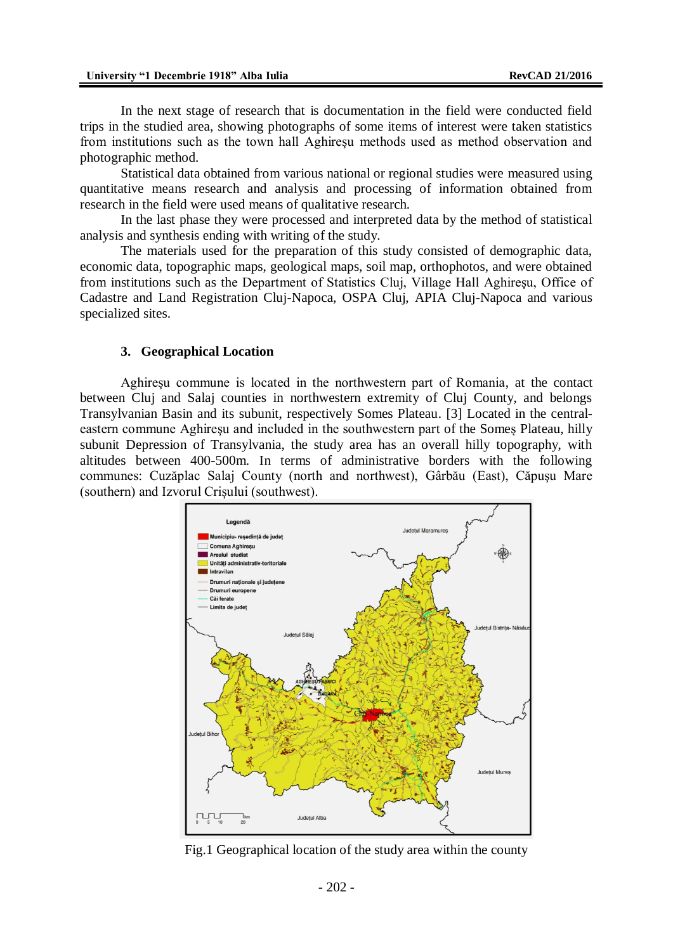In the next stage of research that is documentation in the field were conducted field trips in the studied area, showing photographs of some items of interest were taken statistics from institutions such as the town hall Aghireşu methods used as method observation and photographic method.

Statistical data obtained from various national or regional studies were measured using quantitative means research and analysis and processing of information obtained from research in the field were used means of qualitative research.

In the last phase they were processed and interpreted data by the method of statistical analysis and synthesis ending with writing of the study.

The materials used for the preparation of this study consisted of demographic data, economic data, topographic maps, geological maps, soil map, orthophotos, and were obtained from institutions such as the Department of Statistics Cluj, Village Hall Aghireşu, Office of Cadastre and Land Registration Cluj-Napoca, OSPA Cluj, APIA Cluj-Napoca and various specialized sites.

#### **3. Geographical Location**

Aghireşu commune is located in the northwestern part of Romania, at the contact between Cluj and Salaj counties in northwestern extremity of Cluj County, and belongs Transylvanian Basin and its subunit, respectively Somes Plateau. [3] Located in the centraleastern commune Aghireşu and included in the southwestern part of the Someș Plateau, hilly subunit Depression of Transylvania, the study area has an overall hilly topography, with altitudes between 400-500m. In terms of administrative borders with the following communes: Cuzăplac Salaj County (north and northwest), Gârbău (East), Căpuşu Mare (southern) and Izvorul Crișului (southwest).



Fig.1 Geographical location of the study area within the county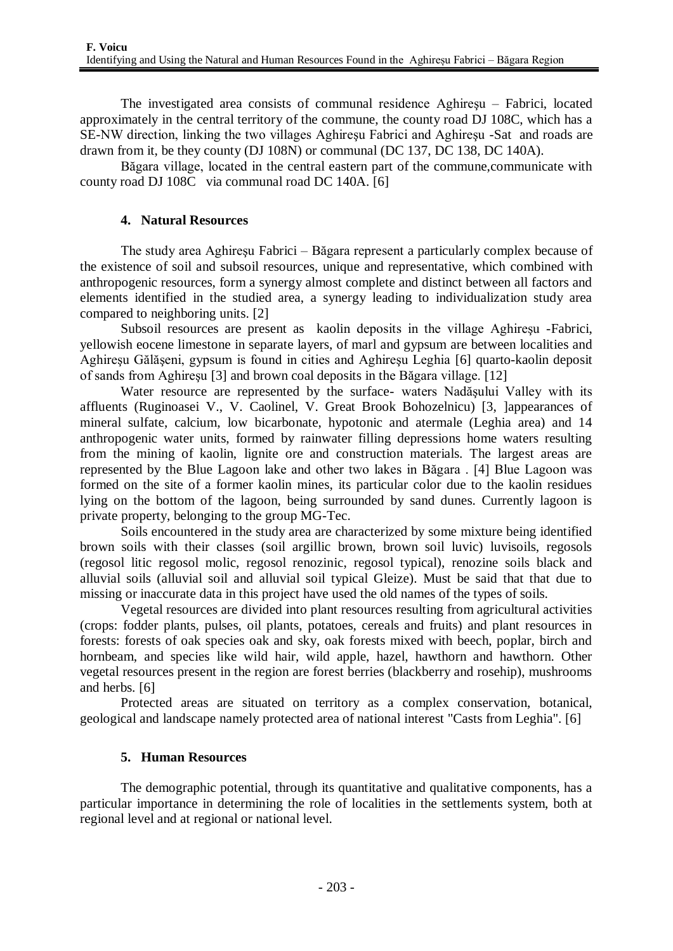The investigated area consists of communal residence Aghireşu – Fabrici, located approximately in the central territory of the commune, the county road DJ 108C, which has a SE-NW direction, linking the two villages Aghireşu Fabrici and Aghireşu -Sat and roads are drawn from it, be they county (DJ 108N) or communal (DC 137, DC 138, DC 140A).

Băgara village, located in the central eastern part of the commune,communicate with county road DJ 108C via communal road DC 140A. [6]

#### **4. Natural Resources**

The study area Aghireşu Fabrici – Băgara represent a particularly complex because of the existence of soil and subsoil resources, unique and representative, which combined with anthropogenic resources, form a synergy almost complete and distinct between all factors and elements identified in the studied area, a synergy leading to individualization study area compared to neighboring units. [2]

Subsoil resources are present as kaolin deposits in the village Aghireşu -Fabrici, yellowish eocene limestone in separate layers, of marl and gypsum are between localities and Aghireşu Gălăşeni, gypsum is found in cities and Aghireşu Leghia [6] quarto-kaolin deposit of sands from Aghireşu [3] and brown coal deposits in the Băgara village. [12]

Water resource are represented by the surface- waters Nadăşului Valley with its affluents (Ruginoasei V., V. Caolinel, V. Great Brook Bohozelnicu) [3, ]appearances of mineral sulfate, calcium, low bicarbonate, hypotonic and atermale (Leghia area) and 14 anthropogenic water units, formed by rainwater filling depressions home waters resulting from the mining of kaolin, lignite ore and construction materials. The largest areas are represented by the Blue Lagoon lake and other two lakes in Băgara . [4] Blue Lagoon was formed on the site of a former kaolin mines, its particular color due to the kaolin residues lying on the bottom of the lagoon, being surrounded by sand dunes. Currently lagoon is private property, belonging to the group MG-Tec.

Soils encountered in the study area are characterized by some mixture being identified brown soils with their classes (soil argillic brown, brown soil luvic) luvisoils, regosols (regosol litic regosol molic, regosol renozinic, regosol typical), renozine soils black and alluvial soils (alluvial soil and alluvial soil typical Gleize). Must be said that that due to missing or inaccurate data in this project have used the old names of the types of soils.

Vegetal resources are divided into plant resources resulting from agricultural activities (crops: fodder plants, pulses, oil plants, potatoes, cereals and fruits) and plant resources in forests: forests of oak species oak and sky, oak forests mixed with beech, poplar, birch and hornbeam, and species like wild hair, wild apple, hazel, hawthorn and hawthorn. Other vegetal resources present in the region are forest berries (blackberry and rosehip), mushrooms and herbs. [6]

Protected areas are situated on territory as a complex conservation, botanical, geological and landscape namely protected area of national interest "Casts from Leghia". [6]

## **5. Human Resources**

The demographic potential, through its quantitative and qualitative components, has a particular importance in determining the role of localities in the settlements system, both at regional level and at regional or national level.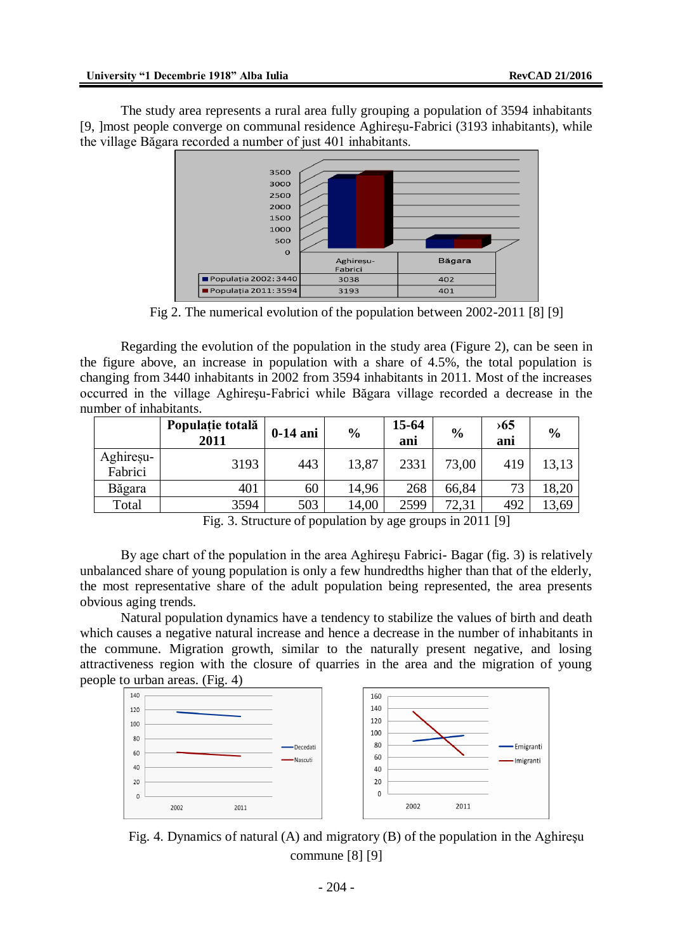The study area represents a rural area fully grouping a population of 3594 inhabitants [9, ]most people converge on communal residence Aghireşu-Fabrici (3193 inhabitants), while the village Băgara recorded a number of just 401 inhabitants.



Fig 2. The numerical evolution of the population between 2002-2011 [8] [9]

Regarding the evolution of the population in the study area (Figure 2), can be seen in the figure above, an increase in population with a share of 4.5%, the total population is changing from 3440 inhabitants in 2002 from 3594 inhabitants in 2011. Most of the increases occurred in the village Aghireşu-Fabrici while Băgara village recorded a decrease in the number of inhabitants.

|                      | Populație totală<br>2011 | $0-14$ ani | $\frac{6}{9}$ | $15 - 64$<br>ani | $\frac{6}{9}$ | $\rightarrow 65$<br>ani | $\frac{6}{6}$ |
|----------------------|--------------------------|------------|---------------|------------------|---------------|-------------------------|---------------|
| Aghiresu-<br>Fabrici | 3193                     | 443        | 13,87         | 2331             | 73,00         | 419                     | 13,13         |
| Băgara               | 401                      | 60         | 14.96         | 268              | 66,84         | 73                      | 18,20         |
| Total                | 3594                     | 503        | 14,00         | 2599             | 72,31         | 492                     | 13,69         |

Fig. 3. Structure of population by age groups in 2011 [9]

By age chart of the population in the area Aghireşu Fabrici- Bagar (fig. 3) is relatively unbalanced share of young population is only a few hundredths higher than that of the elderly, the most representative share of the adult population being represented, the area presents obvious aging trends.

Natural population dynamics have a tendency to stabilize the values of birth and death which causes a negative natural increase and hence a decrease in the number of inhabitants in the commune. Migration growth, similar to the naturally present negative, and losing attractiveness region with the closure of quarries in the area and the migration of young people to urban areas. (Fig. 4)



Fig. 4. Dynamics of natural (A) and migratory (B) of the population in the Aghireşu commune [8] [9]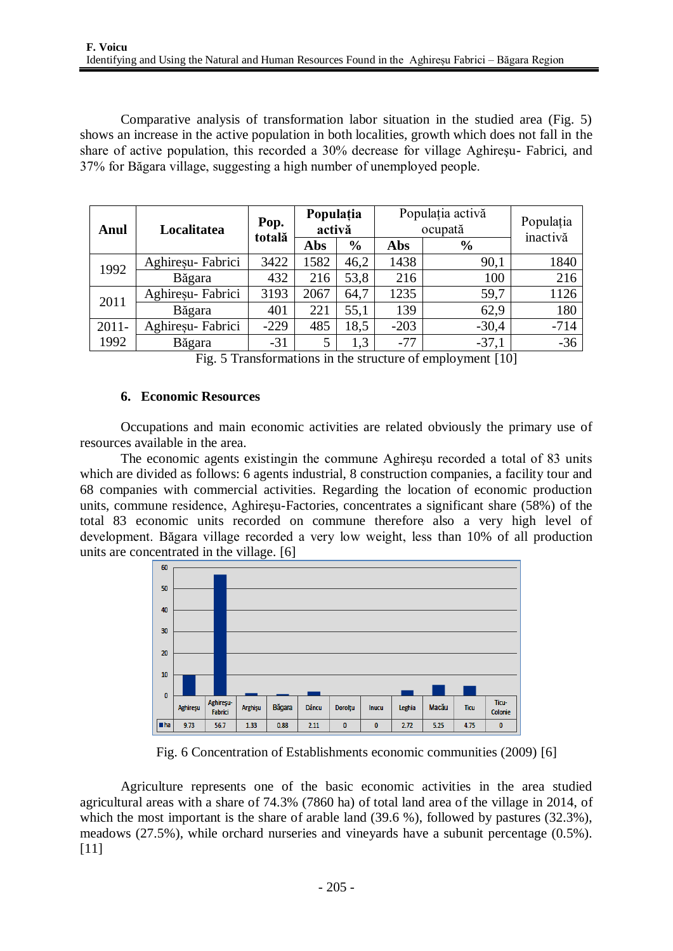Comparative analysis of transformation labor situation in the studied area (Fig. 5) shows an increase in the active population in both localities, growth which does not fall in the share of active population, this recorded a 30% decrease for village Aghireşu- Fabrici, and 37% for Băgara village, suggesting a high number of unemployed people.

| Anul             | Localitatea       | Pop.<br>totală | Populația<br>activă |               | Populația activă<br>ocupată |               | Populația<br>inactivă |
|------------------|-------------------|----------------|---------------------|---------------|-----------------------------|---------------|-----------------------|
|                  |                   |                | Abs                 | $\frac{6}{6}$ | Abs                         | $\frac{6}{6}$ |                       |
| 1992             | Aghiresu-Fabrici  | 3422           | 1582                | 46,2          | 1438                        | 90,1          | 1840                  |
|                  | Băgara            | 432            | 216                 | 53,8          | 216                         | 100           | 216                   |
| 2011             | Aghireșu- Fabrici | 3193           | 2067                | 64,7          | 1235                        | 59,7          | 1126                  |
|                  | Băgara            | 401            | 221                 | 55,1          | 139                         | 62,9          | 180                   |
| $2011 -$<br>1992 | Aghireșu- Fabrici | $-229$         | 485                 | 18,5          | $-203$                      | $-30,4$       | $-714$                |
|                  | Băgara            | $-31$          | 5                   | 1,3           | $-77$                       | $-37,1$       | $-36$                 |

Fig. 5 Transformations in the structure of employment [10]

## **6. Economic Resources**

Occupations and main economic activities are related obviously the primary use of resources available in the area.

The economic agents existingin the commune Aghireşu recorded a total of 83 units which are divided as follows: 6 agents industrial, 8 construction companies, a facility tour and 68 companies with commercial activities. Regarding the location of economic production units, commune residence, Aghireşu-Factories, concentrates a significant share (58%) of the total 83 economic units recorded on commune therefore also a very high level of development. Băgara village recorded a very low weight, less than 10% of all production units are concentrated in the village. [6]



Fig. 6 Concentration of Establishments economic communities (2009) [6]

Agriculture represents one of the basic economic activities in the area studied agricultural areas with a share of 74.3% (7860 ha) of total land area of the village in 2014, of which the most important is the share of arable land (39.6 %), followed by pastures (32.3%), meadows (27.5%), while orchard nurseries and vineyards have a subunit percentage (0.5%). [11]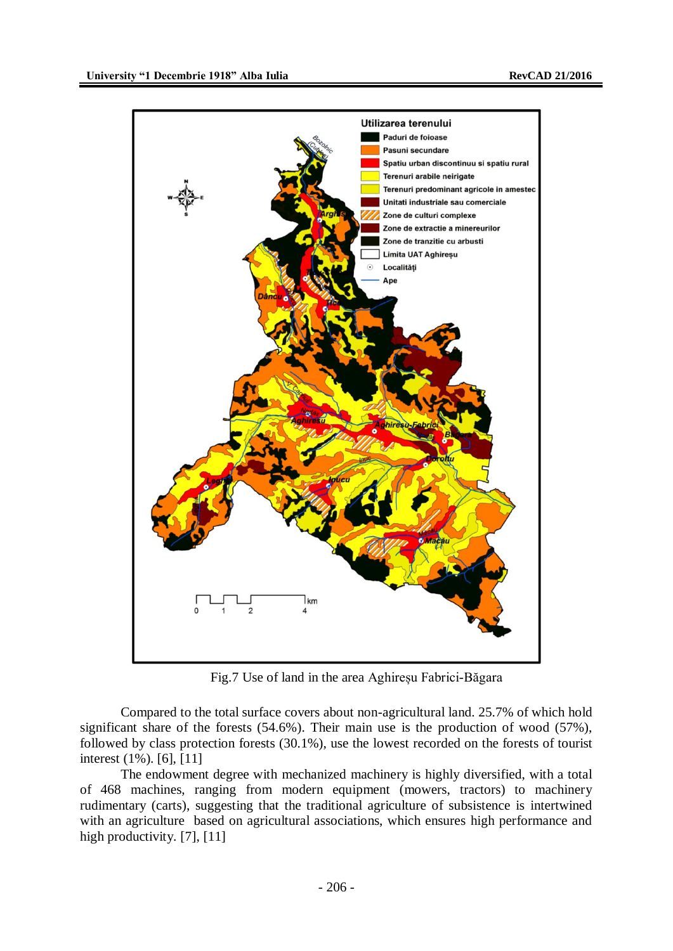

Fig.7 Use of land in the area Aghireșu Fabrici-Băgara

Compared to the total surface covers about non-agricultural land. 25.7% of which hold significant share of the forests (54.6%). Their main use is the production of wood (57%), followed by class protection forests (30.1%), use the lowest recorded on the forests of tourist interest (1%). [6], [11]

The endowment degree with mechanized machinery is highly diversified, with a total of 468 machines, ranging from modern equipment (mowers, tractors) to machinery rudimentary (carts), suggesting that the traditional agriculture of subsistence is intertwined with an agriculture based on agricultural associations, which ensures high performance and high productivity. [7], [11]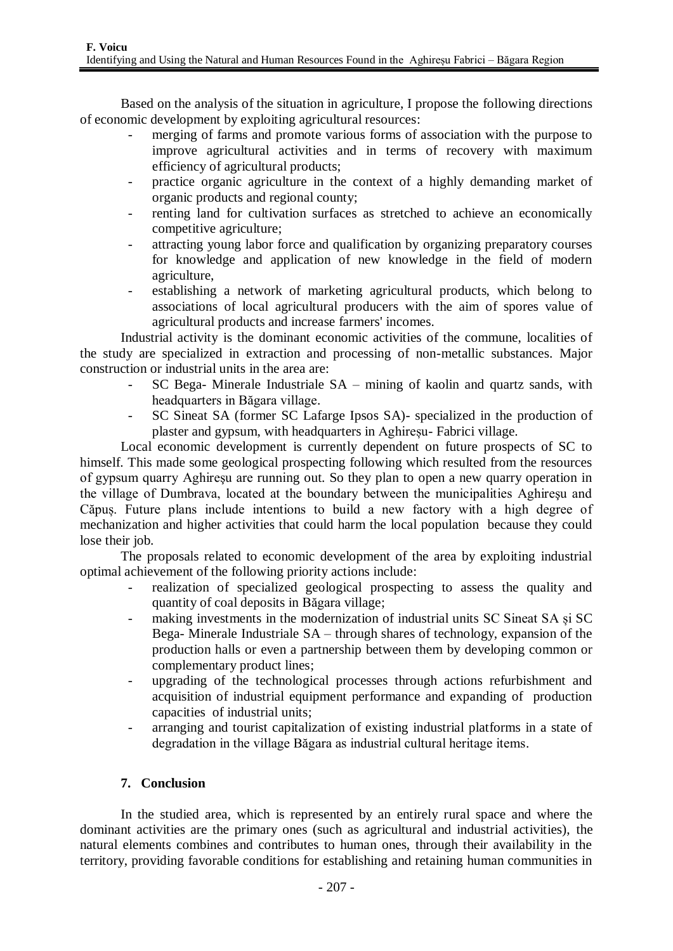Based on the analysis of the situation in agriculture, I propose the following directions of economic development by exploiting agricultural resources:

- merging of farms and promote various forms of association with the purpose to improve agricultural activities and in terms of recovery with maximum efficiency of agricultural products;
- practice organic agriculture in the context of a highly demanding market of organic products and regional county;
- renting land for cultivation surfaces as stretched to achieve an economically competitive agriculture;
- attracting young labor force and qualification by organizing preparatory courses for knowledge and application of new knowledge in the field of modern agriculture,
- establishing a network of marketing agricultural products, which belong to associations of local agricultural producers with the aim of spores value of agricultural products and increase farmers' incomes.

Industrial activity is the dominant economic activities of the commune, localities of the study are specialized in extraction and processing of non-metallic substances. Major construction or industrial units in the area are:

- SC Bega- Minerale Industriale SA mining of kaolin and quartz sands, with headquarters in Băgara village.
- SC Sineat SA (former SC Lafarge Ipsos SA)- specialized in the production of plaster and gypsum, with headquarters in Aghireșu- Fabrici village.

Local economic development is currently dependent on future prospects of SC to himself. This made some geological prospecting following which resulted from the resources of gypsum quarry Aghireşu are running out. So they plan to open a new quarry operation in the village of Dumbrava, located at the boundary between the municipalities Aghireşu and Căpuș. Future plans include intentions to build a new factory with a high degree of mechanization and higher activities that could harm the local population because they could lose their job.

The proposals related to economic development of the area by exploiting industrial optimal achievement of the following priority actions include:

- realization of specialized geological prospecting to assess the quality and quantity of coal deposits in Băgara village;
- making investments in the modernization of industrial units SC Sineat SA și SC Bega- Minerale Industriale SA – through shares of technology, expansion of the production halls or even a partnership between them by developing common or complementary product lines;
- upgrading of the technological processes through actions refurbishment and acquisition of industrial equipment performance and expanding of production capacities of industrial units;
- arranging and tourist capitalization of existing industrial platforms in a state of degradation in the village Băgara as industrial cultural heritage items.

## **7. Conclusion**

In the studied area, which is represented by an entirely rural space and where the dominant activities are the primary ones (such as agricultural and industrial activities), the natural elements combines and contributes to human ones, through their availability in the territory, providing favorable conditions for establishing and retaining human communities in